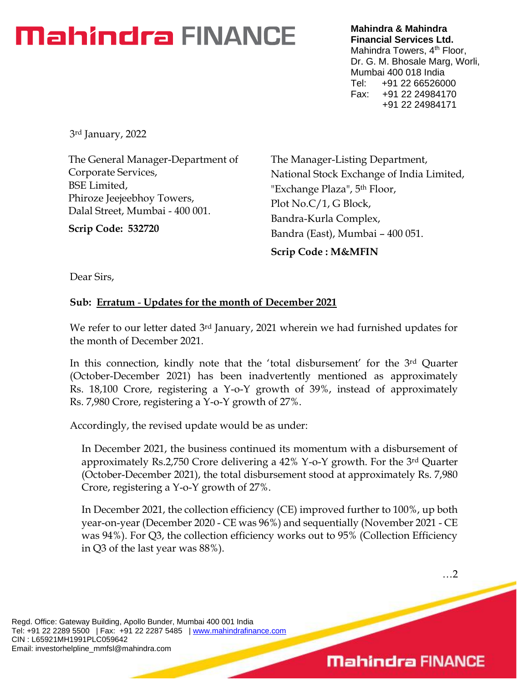## **Mahindra FINANCE**

**Mahindra & Mahindra Financial Services Ltd.** Mahindra Towers, 4<sup>th</sup> Floor, Dr. G. M. Bhosale Marg, Worli, Mumbai 400 018 India Tel: +91 22 66526000 Fax: +91 22 24984170 +91 22 24984171

3rd January, 2022

The General Manager-Department of Corporate Services, BSE Limited, Phiroze Jeejeebhoy Towers, Dalal Street, Mumbai - 400 001.

**Scrip Code: 532720**

The Manager-Listing Department, National Stock Exchange of India Limited, "Exchange Plaza", 5th Floor, Plot No.C/1, G Block, Bandra-Kurla Complex, Bandra (East), Mumbai – 400 051. **Scrip Code : M&MFIN**

Dear Sirs,

## **Sub: Erratum** - **Updates for the month of December 2021**

We refer to our letter dated 3<sup>rd</sup> January, 2021 wherein we had furnished updates for the month of December 2021.

In this connection, kindly note that the 'total disbursement' for the 3<sup>rd</sup> Quarter (October-December 2021) has been inadvertently mentioned as approximately Rs. 18,100 Crore, registering a Y-o-Y growth of 39%, instead of approximately Rs. 7,980 Crore, registering a Y-o-Y growth of 27%.

Accordingly, the revised update would be as under:

In December 2021, the business continued its momentum with a disbursement of approximately Rs.2,750 Crore delivering a 42% Y-o-Y growth. For the 3rd Quarter (October-December 2021), the total disbursement stood at approximately Rs. 7,980 Crore, registering a Y-o-Y growth of 27%.

In December 2021, the collection efficiency (CE) improved further to 100%, up both year-on-year (December 2020 - CE was 96%) and sequentially (November 2021 - CE was 94%). For Q3, the collection efficiency works out to 95% (Collection Efficiency in Q3 of the last year was 88%).

Regd. Office: Gateway Building, Apollo Bunder, Mumbai 400 001 India Tel: +91 22 2289 5500 | Fax: +91 22 2287 5485 | [www.mahindrafinance.com](http://www.mahindrafinance.com/) CIN : L65921MH1991PLC059642 Email: investorhelpline\_mmfsl@mahindra.com

## **Mahindra FINANCE**

…2